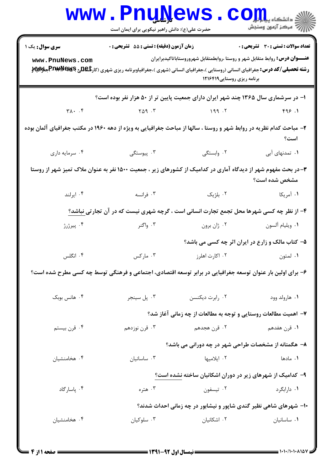|                                                                                                                                | <b>WWW.PNUWEWS</b><br>حضرت علی(ع): دانش راهبر نیکویی برای ایمان است                                                                              |                                                                                                                   | ذِ دانشڪاه پي <mark>ابل</mark> وگ     |  |  |
|--------------------------------------------------------------------------------------------------------------------------------|--------------------------------------------------------------------------------------------------------------------------------------------------|-------------------------------------------------------------------------------------------------------------------|---------------------------------------|--|--|
| <b>سری سوال :</b> یک ۱                                                                                                         | زمان آزمون (دقیقه) : تستی : 55 تشریحی : 0                                                                                                        |                                                                                                                   | تعداد سوالات : تستي : 30 - تشريحي : 0 |  |  |
| www.PnuNews.com                                                                                                                | <b>رشته تحصیلی/کد درس:</b> جغرافیای انسانی (روستایی )،جغرافیای انسانی (شهری )،جغرافیاوبرنامه ریزی شهری (کار <b>تگهلیج P¤@P¤)#P##ME جغلالی به</b> | <b>عنـــوان درس:</b> روابط متقابل شهر و روستا ،روابطمتقابل شهروروستاباتاكيدبرايران<br>برنامه ریزی روستایی ۱۲۱۶۴۱۹ |                                       |  |  |
| ۱– در سرشماری سال ۱۳۶۵ چند شهر ایران دارای جمعیت پایین تر از ۵۰ هزار نفر بوده است؟                                             |                                                                                                                                                  |                                                                                                                   |                                       |  |  |
| $\forall \lambda \cdot \cdot \cdot$                                                                                            | $Y \triangle 9$ $Y$                                                                                                                              | 199.7                                                                                                             | 999.1                                 |  |  |
| ۲- مباحث کدام نظریه در روابط شهر و روستا ، سالها از مباحث جغرافیایی به ویژه از دهه ۱۹۶۰ در مکتب جغرافیای آلمان بوده<br>است؟    |                                                                                                                                                  |                                                                                                                   |                                       |  |  |
| ۰۴ سرمايه داري                                                                                                                 | ۴. پیوستگی                                                                                                                                       | ۰۲ وابستگی                                                                                                        | ۰۱ تمدنهای آبی                        |  |  |
| ۳- در بحث مفهوم شهر از دیدگاه آماری در کدامیک از کشورهای زیر ، جمعیت ۱۵۰۰ نفر به عنوان ملاک تمیز شهر از روستا<br>مشخص شده است؟ |                                                                                                                                                  |                                                                                                                   |                                       |  |  |
| ۰۴ ایرلند                                                                                                                      | . قرانسه $\cdot$ ۳                                                                                                                               | ۰۲ بلژیک                                                                                                          | ۰۱ آمریکا                             |  |  |
|                                                                                                                                | ۴- از نظر چه کسی شهرها محل تجمع تجارت انسانی است ، گرچه شهری نیست که در آن تجارت <u>ی نباشد؟</u>                                                 |                                                                                                                   |                                       |  |  |
| ۰۴ پیرژرژ                                                                                                                      | ۰۳ واگنر                                                                                                                                         | ۰۲ ژان برون                                                                                                       | ٠١ ويليام آلسون                       |  |  |
|                                                                                                                                |                                                                                                                                                  | ۵- کتاب مالک و زارع در ایران اثر چه کسی می باشد؟                                                                  |                                       |  |  |
| ۰۴ انگلس                                                                                                                       | ۰۳ مارکس                                                                                                                                         | ۰۲ اکارت اهلرز                                                                                                    | ۰۱ لمتون                              |  |  |
| ۶– برای اولین بار عنوان توسعه جغرافیایی در برابر توسعه اقتصادی، اجتماعی و فرهنگی توسط چه کسی مطرح شده است؟                     |                                                                                                                                                  |                                                                                                                   |                                       |  |  |
| ۰۴ هانس بوبک                                                                                                                   | ۰۳ پل سينجر                                                                                                                                      | ۰۲ رابرت دیکنسن                                                                                                   | ۰۱ هارولد وود                         |  |  |
|                                                                                                                                |                                                                                                                                                  | ۷- اهمیت مطالعات روستایی و توجه به مطالعات از چه زمانی آغاز شد؟                                                   |                                       |  |  |
| ۰۴ قرن بيستم                                                                                                                   | ۰۳ قرن نوزدهم                                                                                                                                    | ۰۲ قرن هجدهم                                                                                                      | <b>۱</b> . قرن هفدهم                  |  |  |
|                                                                                                                                |                                                                                                                                                  | ۸– هگمتانه از مشخصات طراحی شهر در چه دورانی می باشد؟                                                              |                                       |  |  |
| ۰۴ هخامنشیان                                                                                                                   | ۰۳ ساسانیان                                                                                                                                      | ۰۲ ایلامیها                                                                                                       | ۰۱ مادها                              |  |  |
|                                                                                                                                | ۹- کدامیک از شهرهای زیر در دوران اشکانیان ساخته نشده است؟                                                                                        |                                                                                                                   |                                       |  |  |
| ۰۴ پاسارگاد                                                                                                                    | ۰۳ هتره                                                                                                                                          | ۰۲ تيسفون                                                                                                         | ۰۱ دارابگرد                           |  |  |
|                                                                                                                                | ۱۰– شهرهای شاهی نظیر گندی شاپور و نیشابور در چه زمانی احداث شدند؟                                                                                |                                                                                                                   |                                       |  |  |
| ۰۴ هخامنشیان                                                                                                                   | ۰۳ سلوکیان                                                                                                                                       | ۰۲ اشکانیان                                                                                                       | ٠١ ساسانيان                           |  |  |
|                                                                                                                                |                                                                                                                                                  |                                                                                                                   |                                       |  |  |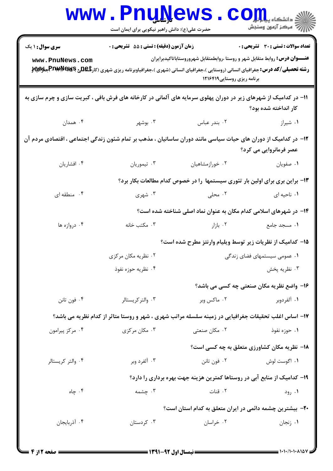| <b>WWW</b>                                                                                                                               | <u>, Luñi/GMP</u><br>حضرت علی(ع): دانش راهبر نیکویی برای ایمان است                                                                                                                      |                                                                                                                    | دانشکاه پی <mark>ا با بار</mark> ا<br>رآب مرڪز آزمون وسنڊش |  |  |
|------------------------------------------------------------------------------------------------------------------------------------------|-----------------------------------------------------------------------------------------------------------------------------------------------------------------------------------------|--------------------------------------------------------------------------------------------------------------------|------------------------------------------------------------|--|--|
| <b>سری سوال : ۱ یک</b><br>www.PnuNews.com                                                                                                | زمان آزمون (دقيقه) : تستى : 55 تشريحى : 0<br><b>رشته تحصیلی/کد درس:</b> جغرافیای انسانی (روستایی )،جغرافیای انسانی (شهری )،جغرافیاوبرنامه ریزی شهری (کار <b>تگهلیج Pב@PE#WPجنولایلا</b> | <b>عنــــوان درس:</b> روابط متقابل شهر و روستا ،روابطمتقابل شهروروستاباتاكيدبرايران<br>برنامه ریزی روستایی ۱۲۱۶۴۱۹ | <b>تعداد سوالات : تستی : 30 ٪ تشریحی : 0</b>               |  |  |
| 11- در کدامیک از شهرهای زیر در دوران پهلوی سرمایه های آلمانی در کارخانه های فرش بافی ، کبریت سازی و چرم سازی به<br>کار انداخته شده بود؟  |                                                                                                                                                                                         |                                                                                                                    |                                                            |  |  |
| ۰۴ همدان                                                                                                                                 | . بوشهر $\cdot$ ۳                                                                                                                                                                       | ۰۲ بندر عباس                                                                                                       | ۰۱ شیراز                                                   |  |  |
| ۱۲– در کدامیک از دوران های حیات سیاسی مانند دوران ساسانیان ، مذهب بر تمام شئون زندگی اجتماعی ، اقتصادی مردم آن<br>عصر فرمانروایی می کرد؟ |                                                                                                                                                                                         |                                                                                                                    |                                                            |  |  |
| ۰۴ افشاریان                                                                                                                              | ۰۳ تیموریان                                                                                                                                                                             | ۰۲ خورازمشاهیان                                                                                                    | ٠١ صفويان                                                  |  |  |
| ۱۳- براین بری برای اولین بار تئوری سیستمها را در خصوص کدام مطالعات بکار برد؟                                                             |                                                                                                                                                                                         |                                                                                                                    |                                                            |  |  |
| ۰۴ منطقه ای                                                                                                                              | ۰۳ شهری                                                                                                                                                                                 | ۰۲ محلی                                                                                                            | ۰۱ ناحیه ای                                                |  |  |
|                                                                                                                                          |                                                                                                                                                                                         | ۱۴– در شهرهای اسلامی کدام مکان به عنوان نماد اصلی شناخته شده است؟                                                  |                                                            |  |  |
| ۰۴ دروازه ها                                                                                                                             | ۰۳ مکتب خانه                                                                                                                                                                            | ۰۲ بازار                                                                                                           | ۰۱ مسجد جامع                                               |  |  |
|                                                                                                                                          |                                                                                                                                                                                         | ۱۵– کدامیک از نظریات زیر توسط ویلیام وارنتز مطرح شده است؟                                                          |                                                            |  |  |
|                                                                                                                                          | ۰۲ نظریه مکان مرکزی                                                                                                                                                                     | ۰۱ عمومی سیستمهای فضای زندگی                                                                                       |                                                            |  |  |
|                                                                                                                                          | ۰۴ نظریه حوزه نفوذ                                                                                                                                                                      |                                                                                                                    | ۰۳ نظریه پخش                                               |  |  |
|                                                                                                                                          |                                                                                                                                                                                         |                                                                                                                    | ۱۶- واضع نظریه مکان صنعتی چه کسی می باشد؟                  |  |  |
| ۰۴ فون تانن                                                                                                                              | ۰۳ والتر کریستالر                                                                                                                                                                       | ۰۲ ماکس وبر                                                                                                        | ١. آلفردوبر                                                |  |  |
|                                                                                                                                          | ۱۷- اساس اغلب تحقیقات جغرافیایی در زمینه سلسله مراتب شهری ، شهر و روستا متاثر از کدام نظریه می باشد؟                                                                                    |                                                                                                                    |                                                            |  |  |
| ۰۴ مرکز پیرامون                                                                                                                          | ۰۳ مکان مرکزی                                                                                                                                                                           | ۰۲ مکان صنعت <u>ی</u>                                                                                              | ۰۱ حوزه نفوذ                                               |  |  |
|                                                                                                                                          |                                                                                                                                                                                         |                                                                                                                    | <b>۱۸- نظریه مکان کشاورزی متعلق به چه کسی است</b> ؟        |  |  |
| ۰۴ والتر کریستالر                                                                                                                        | ۰۳ آلفرد وبر                                                                                                                                                                            | ۰۲ فون تانن                                                                                                        | ۰۱ اگوست لوش                                               |  |  |
|                                                                                                                                          |                                                                                                                                                                                         | ۱۹– کدامیک از منابع آبی در روستاها کمترین هزینه جهت بهره برداری را دارد؟                                           |                                                            |  |  |
| ۰۴ چاه                                                                                                                                   | ۰۳ چشمه                                                                                                                                                                                 | ۰۲ قنات                                                                                                            | ۰۱ رود                                                     |  |  |
|                                                                                                                                          | ۲۰– بیشترین چشمه دائمی در ایران متعلق به کدام استان است؟                                                                                                                                |                                                                                                                    |                                                            |  |  |
| ۰۴ آذربایجان                                                                                                                             | ۰۳ کردستان                                                                                                                                                                              | ۰۲ خراسان                                                                                                          | ۰۱ زنجان                                                   |  |  |
|                                                                                                                                          |                                                                                                                                                                                         |                                                                                                                    |                                                            |  |  |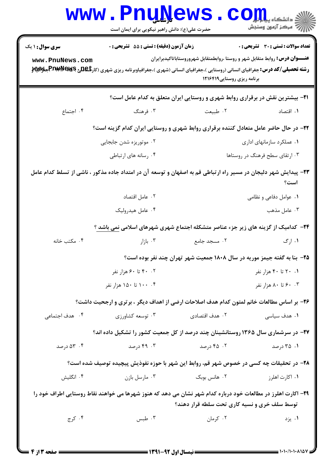| <b>WWW</b>                                                                                                                                                   | حضرت علی(ع): دانش راهبر نیکویی برای ایمان است    | <u>LUÑÑAMP</u>                                                                                                                                                                                                                                                   | د د انشکا ه پ <b>یا ب<sup>ا</sup> با<mark>ر</mark>.</b><br>رآ مرڪز آزمون وسنڊش |  |  |
|--------------------------------------------------------------------------------------------------------------------------------------------------------------|--------------------------------------------------|------------------------------------------------------------------------------------------------------------------------------------------------------------------------------------------------------------------------------------------------------------------|--------------------------------------------------------------------------------|--|--|
| <b>سری سوال : ۱ یک</b><br>www.PnuNews.com                                                                                                                    | <b>زمان آزمون (دقیقه) : تستی : 55 تشریحی : 0</b> | <b>عنـــوان درس :</b> روابط متقابل شهر و روستا ،روابطمتقابل شهروروستاباتاكيدبرايران<br><b>رشته تحصیلی/کد درس:</b> جغرافیای انسانی (روستایی )،جغرافیای انسانی (شهری )،جغرافیاوبرنامه ریزی شهری (کار <b>شگلل PEMAMERERERERERERE</b><br>برنامه ریزی روستایی ۱۲۱۶۴۱۹ | <b>تعداد سوالات : تستی : 30 ٪ تشریحی : 0</b>                                   |  |  |
|                                                                                                                                                              |                                                  | <b>۲۱</b> - بیشترین نقش در برقراری روابط شهری و روستایی ایران متعلق به کدام عامل است؟                                                                                                                                                                            |                                                                                |  |  |
| ۰۴ اجتماع                                                                                                                                                    | ۰۳ فرهنگ                                         | ٠٢ طبيعت                                                                                                                                                                                                                                                         | ۰۱ اقتصاد                                                                      |  |  |
| ۲۲- در حال حاضر عامل متعادل کننده برقراری روابط شهری و روستایی ایران کدام گزینه است؟                                                                         |                                                  |                                                                                                                                                                                                                                                                  |                                                                                |  |  |
|                                                                                                                                                              | ۰۲ موتوریزه شدن جابجایی                          |                                                                                                                                                                                                                                                                  | ۰۱ عملکرد سازمانهای اداری                                                      |  |  |
|                                                                                                                                                              | ۰۴ رسانه های ارتباطی                             |                                                                                                                                                                                                                                                                  | ۰۳ ارتقای سطح فرهنگ در روستاها                                                 |  |  |
| ۲۳– پیدایش شهر دلیجان در مسیر راه ارتباطی قم به اصفهان و توسعه آن در امتداد جاده مذکور ، ناشی از تسلط کدام عامل<br>است؟                                      |                                                  |                                                                                                                                                                                                                                                                  |                                                                                |  |  |
|                                                                                                                                                              | ٠٢ عامل اقتصاد                                   |                                                                                                                                                                                                                                                                  | ۰۱ عوامل دفاعی و نظامی                                                         |  |  |
|                                                                                                                                                              | ۰۴ عامل هيدروليک                                 |                                                                                                                                                                                                                                                                  | ۰۳ عامل مذهب                                                                   |  |  |
|                                                                                                                                                              |                                                  | <b>۲۴</b> - کدامیک از گزینه های زیر جزء عناصر متشکله اجتماع شهری شهرهای اسلامی نمی باشد ؟                                                                                                                                                                        |                                                                                |  |  |
| ۰۴ مکتب خانه                                                                                                                                                 | ۰۳ بازار                                         | ۰۲ مسجد جامع                                                                                                                                                                                                                                                     | ۰۱ ارگ                                                                         |  |  |
| ۲۵- بنا به گفته جیمز موریه در سال ۱۸۰۸ جمعیت شهر تهران چند نفر بوده است؟                                                                                     |                                                  |                                                                                                                                                                                                                                                                  |                                                                                |  |  |
|                                                                                                                                                              | ۰۲ تا ۶۰ هزار نفر                                |                                                                                                                                                                                                                                                                  | ۰. ۲۰ تا ۴۰ هزار نفر                                                           |  |  |
|                                                                                                                                                              | ۰۴ ۱۰۰ تا ۱۵۰ هزار نفر                           |                                                                                                                                                                                                                                                                  | ۰. ۶۰ تا ۸۰ هزار نفر                                                           |  |  |
|                                                                                                                                                              |                                                  | ۲۶- بر اساس مطالعات خانم لمتون کدام هدف اصلاحات ارضی از اهداف دیگر ، برتری و ارجحیت داشت؟                                                                                                                                                                        |                                                                                |  |  |
| ۰۴ هدف اجتماعی                                                                                                                                               | ۰۳ توسعه کشاورزی                                 | ۰۲ هدف اقتصادی                                                                                                                                                                                                                                                   | ۰۱ هدف سیاس <i>ی</i>                                                           |  |  |
| ۲۷- در سرشماری سال ۱۳۶۵ روستانشینان چند درصد از کل جمعیت کشور را تشکیل داده اند؟                                                                             |                                                  |                                                                                                                                                                                                                                                                  |                                                                                |  |  |
| ۵۳ ۰۴ درصد                                                                                                                                                   | ۴۹ . ۴۹ درصد                                     | ۰۲ ۲۵ درصد                                                                                                                                                                                                                                                       | ۰۱ ۲۵ درصد                                                                     |  |  |
| ۲۸– در تحقیقات چه کسی در خصوص شهر قم، روابط این شهر با حوزه نفوذیش پیچیده توصیف شده است؟                                                                     |                                                  |                                                                                                                                                                                                                                                                  |                                                                                |  |  |
| ۰۴ انگلیش                                                                                                                                                    | ۰۳ مارسل بازن                                    | ۰۲ هانس بوبک                                                                                                                                                                                                                                                     | ۰۱ اکارت اهلرز                                                                 |  |  |
| ۲۹– اکارت اهلرز در مطالعات خود درباره کدام شهر نشان می دهد که هنوز شهرها می خواهند نقاط روستایی اطراف خود را<br>توسط سلف خری و نسیه کاری تحت سلطه قرار دهند؟ |                                                  |                                                                                                                                                                                                                                                                  |                                                                                |  |  |
| ۰۴ کرج                                                                                                                                                       | ۰۳ طبس                                           | ۰۲ کرمان                                                                                                                                                                                                                                                         | ۰۱ يزد                                                                         |  |  |
|                                                                                                                                                              |                                                  |                                                                                                                                                                                                                                                                  |                                                                                |  |  |